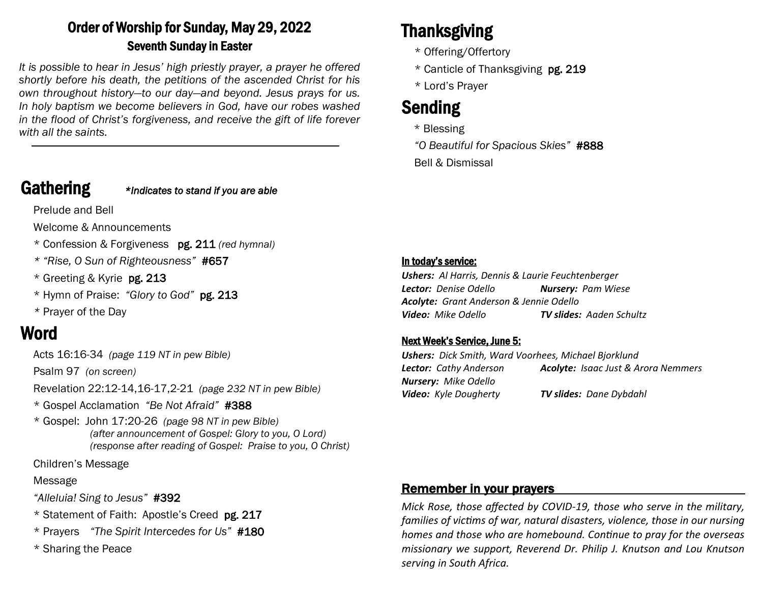### Order of Worship for Sunday, May 29, 2022 Seventh Sunday in Easter

*It is possible to hear in Jesus' high priestly prayer, a prayer he offered shortly before his death, the petitions of the ascended Christ for his own throughout history—to our day—and beyond. Jesus prays for us. In holy baptism we become believers in God, have our robes washed in the flood of Christ's forgiveness, and receive the gift of life forever with all the saints.*

Gathering *\*Indicates to stand if you are able*

Prelude and Bell

Welcome & Announcements

- \* Confession & Forgiveness pg. 211 *(red hymnal)*
- *\* "Rise, O Sun of Righteousness"* #657
- \* Greeting & Kyrie pg. 213
- \* Hymn of Praise: *"Glory to God"* pg. 213
- *\** Prayer of the Day

### Word

Acts 16:16-34 *(page 119 NT in pew Bible)* 

Psalm 97 *(on screen)*

Revelation 22:12-14,16-17,2-21 *(page 232 NT in pew Bible)*

- \* Gospel Acclamation *"Be Not Afraid"* #388
- \* Gospel: John 17:20-26 *(page 98 NT in pew Bible) (after announcement of Gospel: Glory to you, O Lord) (response after reading of Gospel: Praise to you, O Christ)*

Children's Message

Message

*"Alleluia! Sing to Jesus"* #392

- \* Statement of Faith: Apostle's Creed pg. 217
- \* Prayers *"The Spirit Intercedes for Us"* #180
- \* Sharing the Peace

# Thanksgiving

- \* Offering/Offertory
- \* Canticle of Thanksgiving pg. 219
- \* Lord's Prayer

## Sending

\* Blessing

*"O Beautiful for Spacious Skies"* #888 Bell & Dismissal

#### In today's service:

*Ushers: Al Harris, Dennis & Laurie Feuchtenberger Lector: Denise Odello Nursery: Pam Wiese Acolyte: Grant Anderson & Jennie Odello Video: Mike Odello TV slides: Aaden Schultz*

#### Next Week's Service, June 5:

*Ushers: Dick Smith, Ward Voorhees, Michael Bjorklund Lector: Cathy Anderson Acolyte: Isaac Just & Arora Nemmers Nursery: Mike Odello Video: Kyle Dougherty TV slides: Dane Dybdahl*

#### Remember in your prayers

*Mick Rose, those affected by COVID-19, those who serve in the military, families of victims of war, natural disasters, violence, those in our nursing homes and those who are homebound. Continue to pray for the overseas missionary we support, Reverend Dr. Philip J. Knutson and Lou Knutson serving in South Africa.*